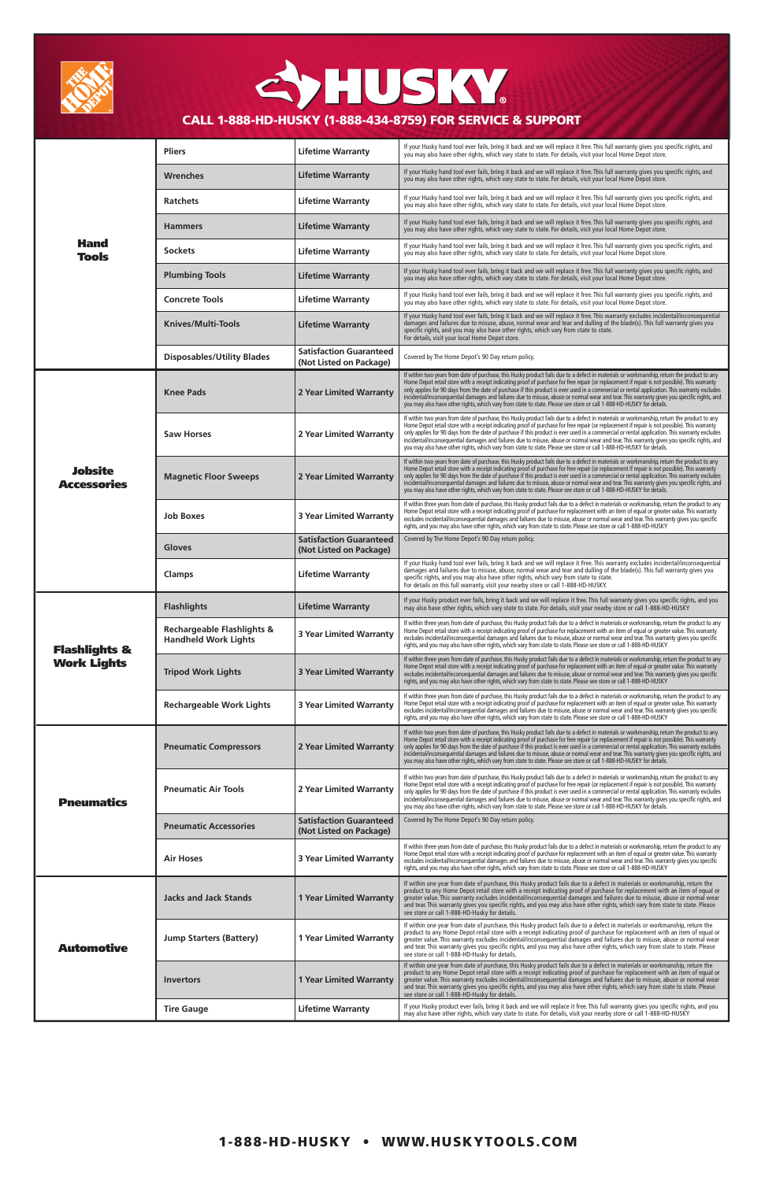| <b>Hand</b><br><b>Tools</b>                    | <b>Pliers</b>                                                        | <b>Lifetime Warranty</b>                                  | If your Husky hand tool ever fails, bring it back and we will replace it free. This full warranty gives you specific rights, and<br>you may also have other rights, which vary state to state. For details, visit your local Home Depot store.                                                                                                                                                                                                                                                                                                                                                                                                                                                                     |
|------------------------------------------------|----------------------------------------------------------------------|-----------------------------------------------------------|--------------------------------------------------------------------------------------------------------------------------------------------------------------------------------------------------------------------------------------------------------------------------------------------------------------------------------------------------------------------------------------------------------------------------------------------------------------------------------------------------------------------------------------------------------------------------------------------------------------------------------------------------------------------------------------------------------------------|
|                                                | Wrenches                                                             | <b>Lifetime Warranty</b>                                  | If your Husky hand tool ever fails, bring it back and we will replace it free. This full warranty gives you specific rights, and<br>you may also have other rights, which vary state to state. For details, visit your local Home Depot store.                                                                                                                                                                                                                                                                                                                                                                                                                                                                     |
|                                                | <b>Ratchets</b>                                                      | <b>Lifetime Warranty</b>                                  | If your Husky hand tool ever fails, bring it back and we will replace it free. This full warranty gives you specific rights, and<br>you may also have other rights, which vary state to state. For details, visit your local Home Depot store.                                                                                                                                                                                                                                                                                                                                                                                                                                                                     |
|                                                | <b>Hammers</b>                                                       | <b>Lifetime Warranty</b>                                  | If your Husky hand tool ever fails, bring it back and we will replace it free. This full warranty gives you specific rights, and<br>you may also have other rights, which vary state to state. For details, visit your local Home Depot store.                                                                                                                                                                                                                                                                                                                                                                                                                                                                     |
|                                                | <b>Sockets</b>                                                       | <b>Lifetime Warranty</b>                                  | If your Husky hand tool ever fails, bring it back and we will replace it free. This full warranty gives you specific rights, and<br>you may also have other rights, which vary state to state. For details, visit your local Home Depot store.                                                                                                                                                                                                                                                                                                                                                                                                                                                                     |
|                                                | <b>Plumbing Tools</b>                                                | <b>Lifetime Warranty</b>                                  | If your Husky hand tool ever fails, bring it back and we will replace it free. This full warranty gives you specific rights, and<br>you may also have other rights, which vary state to state. For details, visit your local Home Depot store.                                                                                                                                                                                                                                                                                                                                                                                                                                                                     |
|                                                | <b>Concrete Tools</b>                                                | <b>Lifetime Warranty</b>                                  | If your Husky hand tool ever fails, bring it back and we will replace it free. This full warranty gives you specific rights, and<br>you may also have other rights, which vary state to state. For details, visit your local Home Depot store.                                                                                                                                                                                                                                                                                                                                                                                                                                                                     |
|                                                | <b>Knives/Multi-Tools</b>                                            | <b>Lifetime Warranty</b>                                  | If your Husky hand tool ever fails, bring it back and we will replace it free. This warranty excludes incidental/inconsequential<br>damages and failures due to misuse, abuse, normal wear and tear and dulling of the blade(s). This full warranty gives you<br>specific rights, and you may also have other rights, which vary from state to state.<br>For details, visit your local Home Depot store.                                                                                                                                                                                                                                                                                                           |
|                                                | <b>Disposables/Utility Blades</b>                                    | <b>Satisfaction Guaranteed</b><br>(Not Listed on Package) | Covered by The Home Depot's 90 Day return policy.                                                                                                                                                                                                                                                                                                                                                                                                                                                                                                                                                                                                                                                                  |
| <b>Jobsite</b><br><b>Accessories</b>           | <b>Knee Pads</b>                                                     | 2 Year Limited Warranty                                   | If within two years from date of purchase, this Husky product fails due to a defect in materials or workmanship, return the product to any<br>Home Depot retail store with a receipt indicating proof of purchase for free repair (or replacement if repair is not possible). This warranty<br>only applies for 90 days from the date of purchase if this product is ever used in a commercial or rental application. This warranty excludes<br>incidental/inconsequential damages and failures due to misuse, abuse or normal wear and tear. This warranty gives you specific rights, and<br>you may also have other rights, which vary from state to state. Please see store or call 1-888-HD-HUSKY for details. |
|                                                | <b>Saw Horses</b>                                                    | 2 Year Limited Warranty                                   | If within two years from date of purchase, this Husky product fails due to a defect in materials or workmanship, return the product to any<br>Home Depot retail store with a receipt indicating proof of purchase for free repair (or replacement if repair is not possible). This warranty<br>only applies for 90 days from the date of purchase if this product is ever used in a commercial or rental application. This warranty excludes<br>incidental/inconsequential damages and failures due to misuse, abuse or normal wear and tear. This warranty gives you specific rights, and<br>you may also have other rights, which vary from state to state. Please see store or call 1-888-HD-HUSKY for details. |
|                                                | <b>Magnetic Floor Sweeps</b>                                         | 2 Year Limited Warranty                                   | If within two years from date of purchase, this Husky product fails due to a defect in materials or workmanship, return the product to any<br>Home Depot retail store with a receipt indicating proof of purchase for free repair (or replacement if repair is not possible). This warranty<br>only applies for 90 days from the date of purchase if this product is ever used in a commercial or rental application. This warranty excludes<br>incidental/inconsequential damages and failures due to misuse, abuse or normal wear and tear. This warranty gives you specific rights, and<br>you may also have other rights, which vary from state to state. Please see store or call 1-888-HD-HUSKY for details. |
|                                                | Job Boxes                                                            | <b>3 Year Limited Warranty</b>                            | If within three years from date of purchase, this Husky product fails due to a defect in materials or workmanship, return the product to any<br>Home Depot retail store with a receipt indicating proof of purchase for replacement with an item of equal or greater value. This warranty<br>excludes incidental/inconsequential damages and failures due to misuse, abuse or normal wear and tear. This warranty gives you specific<br>rights, and you may also have other rights, which vary from state to state. Please see store or call 1-888-HD-HUSKY                                                                                                                                                        |
|                                                | <b>Gloves</b>                                                        | <b>Satisfaction Guaranteed</b><br>(Not Listed on Package) | Covered by The Home Depot's 90 Day return policy.                                                                                                                                                                                                                                                                                                                                                                                                                                                                                                                                                                                                                                                                  |
|                                                | Clamps                                                               | <b>Lifetime Warranty</b>                                  | If your Husky hand tool ever fails, bring it back and we will replace it Free. This warranty excludes incidental/inconsequential<br>damages and failures due to misuse, abuse, normal wear and tear and dulling of the blade(s). This full warranty gives you<br>specific rights, and you may also have other rights, which vary from state to state.<br>For details on this full warranty, visit your nearby store or call 1-888-HD-HUSKY.                                                                                                                                                                                                                                                                        |
| <b>Flashlights &amp;</b><br><b>Work Lights</b> | <b>Flashlights</b>                                                   | <b>Lifetime Warranty</b>                                  | If your Husky product ever fails, bring it back and we will replace it free. This full warranty gives you specific rights, and you<br>may also have other rights, which vary state to state. For details, visit your nearby store or call 1-888-HD-HUSKY                                                                                                                                                                                                                                                                                                                                                                                                                                                           |
|                                                | <b>Rechargeable Flashlights &amp;</b><br><b>Handheld Work Lights</b> | <b>3 Year Limited Warranty</b>                            | If within three years from date of purchase, this Husky product fails due to a defect in materials or workmanship, return the product to any<br>Home Depot retail store with a receipt indicating proof of purchase for replacement with an item of equal or greater value. This warranty<br>excludes incidental/inconsequential damages and failures due to misuse, abuse or normal wear and tear. This warranty gives you specific<br>rights, and you may also have other rights, which vary from state to state. Please see store or call 1-888-HD-HUSKY                                                                                                                                                        |
|                                                | <b>Tripod Work Lights</b>                                            | <b>3 Year Limited Warranty</b>                            | If within three years from date of purchase, this Husky product fails due to a defect in materials or workmanship, return the product to any<br>Home Depot retail store with a receipt indicating proof of purchase for replacement with an item of equal or greater value. This warranty<br>excludes incidental/inconsequential damages and failures due to misuse, abuse or normal wear and tear. This warranty gives you specific<br>rights, and you may also have other rights, which vary from state to state. Please see store or call 1-888-HD-HUSKY                                                                                                                                                        |
|                                                | <b>Rechargeable Work Lights</b>                                      | <b>3 Year Limited Warranty</b>                            | If within three years from date of purchase, this Husky product fails due to a defect in materials or workmanship, return the product to any<br>Home Depot retail store with a receipt indicating proof of purchase for replacement with an item of equal or greater value. This warranty<br>excludes incidental/inconsequential damages and failures due to misuse, abuse or normal wear and tear. This warranty gives you specific<br>rights, and you may also have other rights, which vary from state to state. Please see store or call 1-888-HD-HUSKY                                                                                                                                                        |
| <b>Pneumatics</b>                              | <b>Pneumatic Compressors</b>                                         | 2 Year Limited Warranty                                   | If within two years from date of purchase, this Husky product fails due to a defect in materials or workmanship, return the product to any<br>Home Depot retail store with a receipt indicating proof of purchase for free repair (or replacement if repair is not possible). This warranty<br>only applies for 90 days from the date of purchase if this product is ever used in a commercial or rental application. This warranty excludes<br>incidental/inconsequential damages and failures due to misuse, abuse or normal wear and tear. This warranty gives you specific rights, and<br>you may also have other rights, which vary from state to state. Please see store or call 1-888-HD-HUSKY for details. |
|                                                | <b>Pneumatic Air Tools</b>                                           | 2 Year Limited Warranty                                   | If within two years from date of purchase, this Husky product fails due to a defect in materials or workmanship, return the product to any<br>Home Depot retail store with a receipt indicating proof of purchase for free repair (or replacement if repair is not possible). This warranty<br>only applies for 90 days from the date of purchase if this product is ever used in a commercial or rental application. This warranty excludes<br>incidental/inconsequential damages and failures due to misuse, abuse or normal wear and tear. This warranty gives you specific rights, and<br>you may also have other rights, which vary from state to state. Please see store or call 1-888-HD-HUSKY for details. |
|                                                | <b>Pneumatic Accessories</b>                                         | <b>Satisfaction Guaranteed</b><br>(Not Listed on Package) | Covered by The Home Depot's 90 Day return policy.                                                                                                                                                                                                                                                                                                                                                                                                                                                                                                                                                                                                                                                                  |
|                                                | Air Hoses                                                            | <b>3 Year Limited Warranty</b>                            | If within three years from date of purchase, this Husky product fails due to a defect in materials or workmanship, return the product to any<br>Home Depot retail store with a receipt indicating proof of purchase for replacement with an item of equal or greater value. This warranty<br>excludes incidental/inconsequential damages and failures due to misuse, abuse or normal wear and tear. This warranty gives you specific<br>rights, and you may also have other rights, which vary from state to state. Please see store or call 1-888-HD-HUSKY                                                                                                                                                        |
| <b>Automotive</b>                              | <b>Jacks and Jack Stands</b>                                         | <b>1 Year Limited Warranty</b>                            | If within one year from date of purchase, this Husky product fails due to a defect in materials or workmanship, return the<br>product to any Home Depot retail store with a receipt indicating proof of purchase for replacement with an item of equal or<br>greater value. This warranty excludes incidental/inconsequential damages and failures due to misuse, abuse or normal wear<br>and tear. This warranty gives you specific rights, and you may also have other rights, which vary from state to state. Please<br>see store or call 1-888-HD-Husky for details.                                                                                                                                           |
|                                                | <b>Jump Starters (Battery)</b>                                       | <b>1 Year Limited Warranty</b>                            | If within one year from date of purchase, this Husky product fails due to a defect in materials or workmanship, return the<br>product to any Home Depot retail store with a receipt indicating proof of purchase for replacement with an item of equal or<br>greater value. This warranty excludes incidental/inconsequential damages and failures due to misuse, abuse or normal wear<br>and tear. This warranty gives you specific rights, and you may also have other rights, which vary from state to state. Please<br>see store or call 1-888-HD-Husky for details.                                                                                                                                           |
|                                                | <b>Invertors</b>                                                     | <b>1 Year Limited Warranty</b>                            | If within one year from date of purchase, this Husky product fails due to a defect in materials or workmanship, return the<br>product to any Home Depot retail store with a receipt indicating proof of purchase for replacement with an item of equal or<br>greater value. This warranty excludes incidental/inconsequential damages and failures due to misuse, abuse or normal wear<br>and tear. This warranty gives you specific rights, and you may also have other rights, which vary from state to state. Please<br>see store or call 1-888-HD-Husky for details.                                                                                                                                           |
|                                                | <b>Tire Gauge</b>                                                    | <b>Lifetime Warranty</b>                                  | If your Husky product ever fails, bring it back and we will replace it free. This full warranty gives you specific rights, and you<br>may also have other rights, which vary state to state. For details, visit your nearby store or call 1-888-HD-HUSKY                                                                                                                                                                                                                                                                                                                                                                                                                                                           |



## CYHUSKY. CALL 1-888-HD-HUSKY (1-888-434-8759) FOR SERVICE & SUPPORT

## 1-888-HD-HUSKY • WWW.HUSKYTOOLS.COM